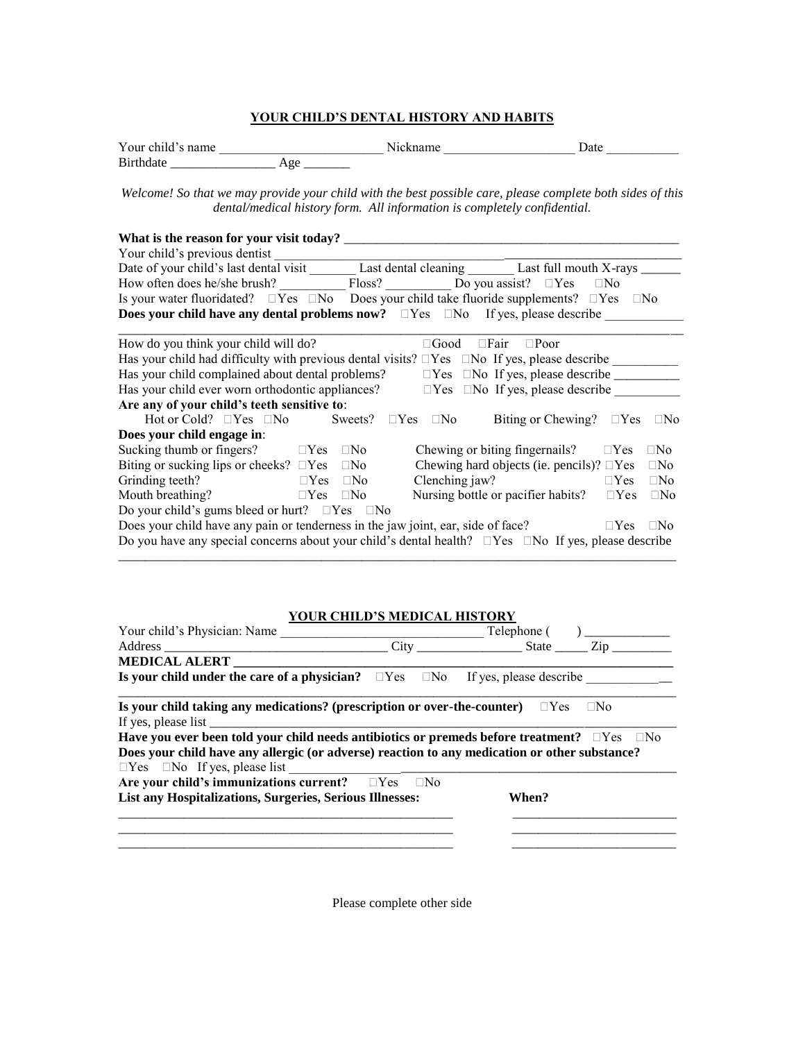## **YOUR CHILD'S DENTAL HISTORY AND HABITS**

| Your child's name |                 | Jate |
|-------------------|-----------------|------|
| <b>Rirthdate</b>  | <b>CONTRACT</b> |      |

*Welcome! So that we may provide your child with the best possible care, please complete both sides of this dental/medical history form. All information is completely confidential.*

| What is the reason for your visit today?                                                                               |                      |                       |  |             |                                                   |                    |            |              |
|------------------------------------------------------------------------------------------------------------------------|----------------------|-----------------------|--|-------------|---------------------------------------------------|--------------------|------------|--------------|
| Your child's previous dentist                                                                                          |                      |                       |  |             |                                                   |                    |            |              |
|                                                                                                                        |                      |                       |  |             |                                                   |                    |            |              |
| How often does he/she brush? Floss? Do you assist? $\square$ Yes $\square$ No                                          |                      |                       |  |             |                                                   |                    |            |              |
| Is your water fluoridated? $\square Yes \square No \simeq Do$ Does your child take fluoride supplements? $\square Yes$ |                      |                       |  |             |                                                   |                    | $\Box$ No  |              |
| <b>Does your child have any dental problems now?</b> $\Box$ Yes $\Box$ No If yes, please describe                      |                      |                       |  |             |                                                   |                    |            |              |
| How do you think your child will do?                                                                                   |                      |                       |  | $\Box$ Good | $\Box$ Fair                                       | $\Box$ Poor        |            |              |
| Has your child had difficulty with previous dental visits? $\square$ Yes $\square$ No If yes, please describe          |                      |                       |  |             |                                                   |                    |            |              |
| Has your child complained about dental problems?                                                                       |                      |                       |  |             |                                                   |                    |            |              |
| Has your child ever worn orthodontic appliances?<br>$\Box$ Yes $\Box$ No If yes, please describe                       |                      |                       |  |             |                                                   |                    |            |              |
| Are any of your child's teeth sensitive to:                                                                            |                      |                       |  |             |                                                   |                    |            |              |
| Hot or Cold? $\Box$ Yes $\Box$ No                                                                                      |                      | Sweets? $\square$ Yes |  | $\Box$ No   |                                                   | Biting or Chewing? | $\Box$ Yes | $\Box$ No    |
| Does your child engage in:                                                                                             |                      |                       |  |             |                                                   |                    |            |              |
| Sucking thumb or fingers? $\square$ Yes                                                                                |                      | $\Box$ No             |  |             | Chewing or biting fingernails?                    |                    | $\Box$ Yes | $\square$ No |
| Biting or sucking lips or cheeks? $\square$ Yes                                                                        |                      | $\Box$ No             |  |             | Chewing hard objects (ie. pencils)? $\square$ Yes |                    |            | $\Box$ No    |
| Grinding teeth?                                                                                                        | $\Box$ Yes $\Box$ No |                       |  |             | Clenching jaw?                                    |                    | $\Box$ Yes | $\Box$ No    |
| Mouth breathing?                                                                                                       | $\Box$ Yes           | $\Box$ No             |  |             | Nursing bottle or pacifier habits?                |                    | $\Box$ Yes | $\Box$ No    |
| Do your child's gums bleed or hurt? $\square$ Yes $\square$ No                                                         |                      |                       |  |             |                                                   |                    |            |              |
| Does your child have any pain or tenderness in the jaw joint, ear, side of face?<br>$\Box$ Yes                         |                      |                       |  |             | $\Box$ No                                         |                    |            |              |
| Do you have any special concerns about your child's dental health? $\square$ Yes $\square$ No If yes, please describe  |                      |                       |  |             |                                                   |                    |            |              |

## **YOUR CHILD'S MEDICAL HISTORY**

\_\_\_\_\_\_\_\_\_\_\_\_\_\_\_\_\_\_\_\_\_\_\_\_\_\_\_\_\_\_\_\_\_\_\_\_\_\_\_\_\_\_\_\_\_\_\_\_\_\_\_\_\_\_\_\_\_\_\_\_\_\_\_\_\_\_\_\_\_\_\_\_\_\_\_\_\_\_\_\_\_\_\_\_\_

| Your child's Physician: Name                                                                                 |       |                      |           |
|--------------------------------------------------------------------------------------------------------------|-------|----------------------|-----------|
|                                                                                                              |       | $City$ $State$ $Zip$ |           |
| <b>MEDICAL ALERT</b>                                                                                         |       |                      |           |
| Is your child under the care of a physician? $\square$ Yes $\square$ No If yes, please describe              |       |                      |           |
| Is your child taking any medications? (prescription or over-the-counter) $\square$ Yes                       |       |                      | $\Box$ No |
|                                                                                                              |       |                      |           |
| Have you ever been told your child needs antibiotics or premeds before treatment? $\square$ Yes $\square$ No |       |                      |           |
| Does your child have any allergic (or adverse) reaction to any medication or other substance?                |       |                      |           |
| $\Box$ Yes $\Box$ No If yes, please list                                                                     |       |                      |           |
| Are your child's immunizations current? $\square$ Yes $\square$ No                                           |       |                      |           |
| List any Hospitalizations, Surgeries, Serious Illnesses:                                                     | When? |                      |           |
|                                                                                                              |       |                      |           |
|                                                                                                              |       |                      |           |
|                                                                                                              |       |                      |           |
|                                                                                                              |       |                      |           |

Please complete other side